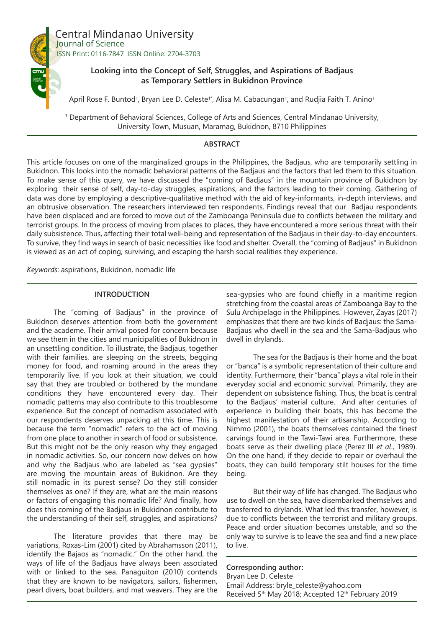

Central Mindanao University Journal of Science ISSN Print: 0116-7847 ISSN Online: 2704-3703

# **Looking into the Concept of Self, Struggles, and Aspirations of Badjaus as Temporary Settlers in Bukidnon Province**

April Rose F. Buntod<sup>1</sup>, Bryan Lee D. Celeste<sup>1\*</sup>, Alisa M. Cabacungan<sup>1</sup>, and Rudjia Faith T. Anino<sup>1</sup>

1 Department of Behavioral Sciences, College of Arts and Sciences, Central Mindanao University, University Town, Musuan, Maramag, Bukidnon, 8710 Philippines

#### **ABSTRACT**

This article focuses on one of the marginalized groups in the Philippines, the Badjaus, who are temporarily settling in Bukidnon. This looks into the nomadic behavioral patterns of the Badjaus and the factors that led them to this situation. To make sense of this query, we have discussed the "coming of Badjaus" in the mountain province of Bukidnon by exploring their sense of self, day-to-day struggles, aspirations, and the factors leading to their coming. Gathering of data was done by employing a descriptive-qualitative method with the aid of key-informants, in-depth interviews, and an obtrusive observation. The researchers interviewed ten respondents. Findings reveal that our Badjau respondents have been displaced and are forced to move out of the Zamboanga Peninsula due to conflicts between the military and terrorist groups. In the process of moving from places to places, they have encountered a more serious threat with their daily subsistence. Thus, affecting their total well-being and representation of the Badjaus in their day-to-day encounters. To survive, they find ways in search of basic necessities like food and shelter. Overall, the "coming of Badjaus" in Bukidnon is viewed as an act of coping, surviving, and escaping the harsh social realities they experience.

*Keywords*: aspirations, Bukidnon, nomadic life

#### **INTRODUCTION**

The "coming of Badjaus" in the province of Bukidnon deserves attention from both the government and the academe. Their arrival posed for concern because we see them in the cities and municipalities of Bukidnon in an unsettling condition. To illustrate, the Badjaus, together with their families, are sleeping on the streets, begging money for food, and roaming around in the areas they temporarily live. If you look at their situation, we could say that they are troubled or bothered by the mundane conditions they have encountered every day. Their nomadic patterns may also contribute to this troublesome experience. But the concept of nomadism associated with our respondents deserves unpacking at this time. This is because the term "nomadic" refers to the act of moving from one place to another in search of food or subsistence. But this might not be the only reason why they engaged in nomadic activities. So, our concern now delves on how and why the Badjaus who are labeled as "sea gypsies" are moving the mountain areas of Bukidnon. Are they still nomadic in its purest sense? Do they still consider themselves as one? If they are, what are the main reasons or factors of engaging this nomadic life? And finally, how does this coming of the Badjaus in Bukidnon contribute to the understanding of their self, struggles, and aspirations?

The literature provides that there may be variations, Roxas-Lim (2001) cited by Abrahamsson (2011), identify the Bajaos as "nomadic." On the other hand, the ways of life of the Badjaus have always been associated with or linked to the sea. Panaguiton (2010) contends that they are known to be navigators, sailors, fishermen, pearl divers, boat builders, and mat weavers. They are the

sea-gypsies who are found chiefly in a maritime region stretching from the coastal areas of Zamboanga Bay to the Sulu Archipelago in the Philippines. However, Zayas (2017) emphasizes that there are two kinds of Badjaus: the Sama-Badjaus who dwell in the sea and the Sama-Badjaus who dwell in drylands.

The sea for the Badjaus is their home and the boat or "banca" is a symbolic representation of their culture and identity. Furthermore, their "banca" plays a vital role in their everyday social and economic survival. Primarily, they are dependent on subsistence fishing. Thus, the boat is central to the Badjaus' material culture. And after centuries of experience in building their boats, this has become the highest manifestation of their artisanship. According to Nimmo (2001), the boats themselves contained the finest carvings found in the Tawi-Tawi area. Furthermore, these boats serve as their dwelling place (Perez III *et al*., 1989). On the one hand, if they decide to repair or overhaul the boats, they can build temporary stilt houses for the time being.

But their way of life has changed. The Badjaus who use to dwell on the sea, have disembarked themselves and transferred to drylands. What led this transfer, however, is due to conflicts between the terrorist and military groups. Peace and order situation becomes unstable, and so the only way to survive is to leave the sea and find a new place to live.

**Corresponding author:** Bryan Lee D. Celeste Email Address: bryle\_celeste@yahoo.com Received 5<sup>th</sup> May 2018; Accepted 12<sup>th</sup> February 2019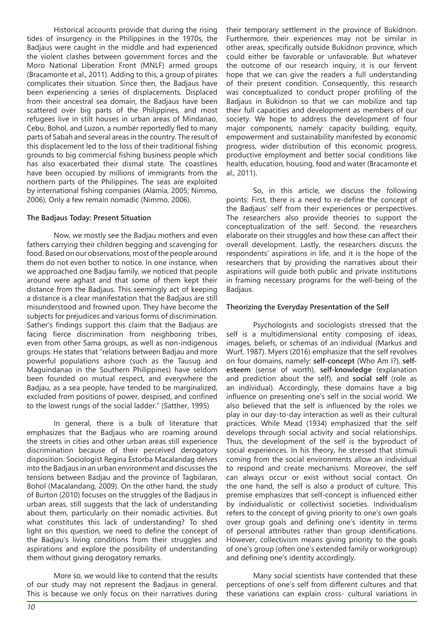Historical accounts provide that during the rising tides of insurgency in the Philippines in the 1970s, the Badjaus were caught in the middle and had experienced the violent clashes between government forces and the Moro National Liberation Front (MNLF) armed groups (Bracamonte et al., 2011). Adding to this, a group of pirates complicates their situation. Since then, the Badjaus have been experiencing a series of displacements. Displaced from their ancestral sea domain, the Badjaus have been scattered over big parts of the Philippines, and most refugees live in stilt houses in urban areas of Mindanao, Cebu, Bohol, and Luzon, a number reportedly fled to many parts of Sabah and several areas in the country. The result of this displacement led to the loss of their traditional fishing grounds to big commercial fishing business people which has also exacerbated their dismal state. The coastlines have been occupied by millions of immigrants from the northern parts of the Philippines. The seas are exploited by international fishing companies (Alamia, 2005; Nimmo, 2006). Only a few remain nomadic (Nimmo, 2006).

## **The Badjaus Today: Present Situation**

Now, we mostly see the Badjau mothers and even fathers carrying their children begging and scavenging for food. Based on our observations, most of the people around them do not even bother to notice. In one instance, when we approached one Badjau family, we noticed that people around were aghast and that some of them kept their distance from the Badjaus. This seemingly act of keeping a distance is a clear manifestation that the Badjaus are still misunderstood and frowned upon. They have become the subjects for prejudices and various forms of discrimination. Sather's findings support this claim that the Badjaus are facing fierce discrimination from neighboring tribes, even from other Sama groups, as well as non-indigenous groups. He states that "relations between Badjau and more powerful populations ashore (such as the Tausug and Maguindanao in the Southern Philippines) have seldom been founded on mutual respect, and everywhere the Badjau, as a sea people, have tended to be marginalized, excluded from positions of power, despised, and confined to the lowest rungs of the social ladder." (Satther, 1995)

In general, there is a bulk of literature that emphasizes that the Badjaus who are roaming around the streets in cities and other urban areas still experience discrimination because of their perceived derogatory disposition. Sociologist Regina Estorba Macalandag delves into the Badjaus in an urban environment and discusses the tensions between Badjau and the province of Tagbilaran, Bohol (Macalandang, 2009). On the other hand, the study of Burton (2010) focuses on the struggles of the Badjaus in urban areas, still suggests that the lack of understanding about them, particularly on their nomadic activities. But what constitutes this lack of understanding? To shed light on this question, we need to define the concept of the Badjau's living conditions from their struggles and aspirations and explore the possibility of understanding them without giving derogatory remarks.

More so, we would like to contend that the results of our study may not represent the Badjaus in general. This is because we only focus on their narratives during their temporary settlement in the province of Bukidnon. Furthermore, their experiences may not be similar in other areas, specifically outside Bukidnon province, which could either be favorable or unfavorable. But whatever the outcome of our research inquiry, it is our fervent hope that we can give the readers a full understanding of their present condition. Consequently, this research was conceptualized to conduct proper profiling of the Badjaus in Bukidnon so that we can mobilize and tap their full capacities and development as members of our society. We hope to address the development of four major components, namely: capacity building, equity, empowerment and sustainability manifested by economic progress, wider distribution of this economic progress, productive employment and better social conditions like health, education, housing, food and water (Bracamonte et al., 2011).

So, in this article, we discuss the following points: First, there is a need to re-define the concept of the Badjaus' self from their experiences or perspectives. The researchers also provide theories to support the conceptualization of the self. Second, the researchers elaborate on their struggles and how these can affect their overall development. Lastly, the researchers discuss the respondents' aspirations in life, and it is the hope of the researchers that by providing the narratives about their aspirations will guide both public and private institutions in framing necessary programs for the well-being of the Badjaus.

#### **Theorizing the Everyday Presentation of the Self**

Psychologists and sociologists stressed that the self is a multidimensional entity composing of ideas, images, beliefs, or schemas of an individual (Markus and Wurf, 1987). Myers (2016) emphasize that the self revolves on four domains, namely: **self-concept** (Who Am I?), **selfesteem** (sense of worth), **self-knowledge** (explanation and prediction about the self), and **social self** (role as an individual). Accordingly, these domains have a big influence on presenting one's self in the social world. We also believed that the self is influenced by the roles we play in our day-to-day interaction as well as their cultural practices. While Mead (1934) emphasized that the self develops through social activity and social relationships. Thus, the development of the self is the byproduct of social experiences. In his theory, he stressed that stimuli coming from the social environments allow an individual to respond and create mechanisms. Moreover, the self can always occur or exist without social contact. On the one hand, the self is also a product of culture. This premise emphasizes that self-concept is influenced either by individualistic or collectivist societies. Individualism refers to the concept of giving priority to one's own goals over group goals and defining one's identity in terms of personal attributes rather than group identifications. However, collectivism means giving priority to the goals of one's group (often one's extended family or workgroup) and defining one's identity accordingly.

Many social scientists have contended that these perceptions of one's self from different cultures and that these variations can explain cross- cultural variations in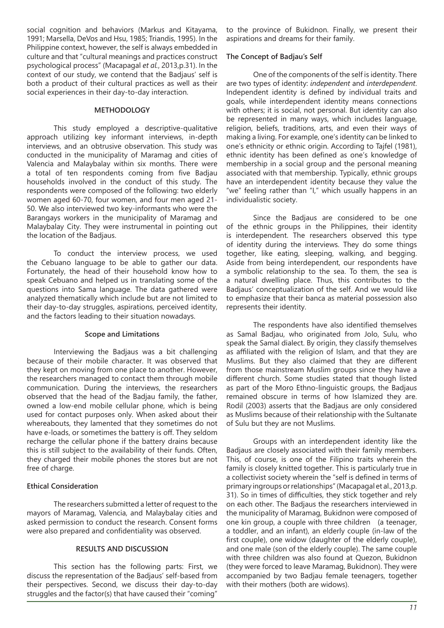social cognition and behaviors (Markus and Kitayama, 1991; Marsella, DeVos and Hsu, 1985; Triandis, 1995). In the Philippine context, however, the self is always embedded in culture and that "cultural meanings and practices construct psychological process" (Macapagal *et al.*, 2013,p.31). In the context of our study, we contend that the Badjaus' self is both a product of their cultural practices as well as their social experiences in their day-to-day interaction.

## **METHODOLOGY**

This study employed a descriptive-qualitative approach utilizing key informant interviews, in-depth interviews, and an obtrusive observation. This study was conducted in the municipality of Maramag and cities of Valencia and Malaybalay within six months. There were a total of ten respondents coming from five Badjau households involved in the conduct of this study. The respondents were composed of the following: two elderly women aged 60-70, four women, and four men aged 21- 50. We also interviewed two key-informants who were the Barangays workers in the municipality of Maramag and Malaybalay City. They were instrumental in pointing out the location of the Badjaus.

To conduct the interview process, we used the Cebuano language to be able to gather our data. Fortunately, the head of their household know how to speak Cebuano and helped us in translating some of the questions into Sama language. The data gathered were analyzed thematically which include but are not limited to their day-to-day struggles, aspirations, perceived identity, and the factors leading to their situation nowadays.

#### **Scope and Limitations**

Interviewing the Badjaus was a bit challenging because of their mobile character. It was observed that they kept on moving from one place to another. However, the researchers managed to contact them through mobile communication. During the interviews, the researchers observed that the head of the Badjau family, the father, owned a low-end mobile cellular phone, which is being used for contact purposes only. When asked about their whereabouts, they lamented that they sometimes do not have e-loads, or sometimes the battery is off. They seldom recharge the cellular phone if the battery drains because this is still subject to the availability of their funds. Often, they charged their mobile phones the stores but are not free of charge.

## **Ethical Consideration**

The researchers submitted a letter of request to the mayors of Maramag, Valencia, and Malaybalay cities and asked permission to conduct the research. Consent forms were also prepared and confidentiality was observed.

#### **RESULTS AND DISCUSSION**

This section has the following parts: First, we discuss the representation of the Badjaus' self-based from their perspectives. Second, we discuss their day-to-day struggles and the factor(s) that have caused their "coming"

to the province of Bukidnon. Finally, we present their aspirations and dreams for their family.

#### **The Concept of Badjau's Self**

One of the components of the self is identity. There are two types of identity: *independent* and *interdependent*. Independent identity is defined by individual traits and goals, while interdependent identity means connections with others; it is social, not personal. But identity can also be represented in many ways, which includes language, religion, beliefs, traditions, arts, and even their ways of making a living. For example, one's identity can be linked to one's ethnicity or ethnic origin. According to Tajfel (1981), ethnic identity has been defined as one's knowledge of membership in a social group and the personal meaning associated with that membership. Typically, ethnic groups have an interdependent identity because they value the "we" feeling rather than "I," which usually happens in an individualistic society.

Since the Badjaus are considered to be one of the ethnic groups in the Philippines, their identity is interdependent. The researchers observed this type of identity during the interviews. They do some things together, like eating, sleeping, walking, and begging. Aside from being interdependent, our respondents have a symbolic relationship to the sea. To them, the sea is a natural dwelling place. Thus, this contributes to the Badjaus' conceptualization of the self. And we would like to emphasize that their banca as material possession also represents their identity.

The respondents have also identified themselves as Samal Badjau, who originated from Jolo, Sulu, who speak the Samal dialect. By origin, they classify themselves as affiliated with the religion of Islam, and that they are Muslims. But they also claimed that they are different from those mainstream Muslim groups since they have a different church. Some studies stated that though listed as part of the Moro Ethno-linguistic groups, the Badjaus remained obscure in terms of how Islamized they are. Rodil (2003) asserts that the Badjaus are only considered as Muslims because of their relationship with the Sultanate of Sulu but they are not Muslims.

Groups with an interdependent identity like the Badjaus are closely associated with their family members. This, of course, is one of the Filipino traits wherein the family is closely knitted together. This is particularly true in a collectivist society wherein the "self is defined in terms of primary ingroups or relationships" (Macapagal et al., 2013,p. 31). So in times of difficulties, they stick together and rely on each other. The Badjaus the researchers interviewed in the municipality of Maramag, Bukidnon were composed of one kin group, a couple with three children (a teenager, a toddler, and an infant), an elderly couple (in-law of the first couple), one widow (daughter of the elderly couple), and one male (son of the elderly couple). The same couple with three children was also found at Quezon, Bukidnon (they were forced to leave Maramag, Bukidnon). They were accompanied by two Badjau female teenagers, together with their mothers (both are widows).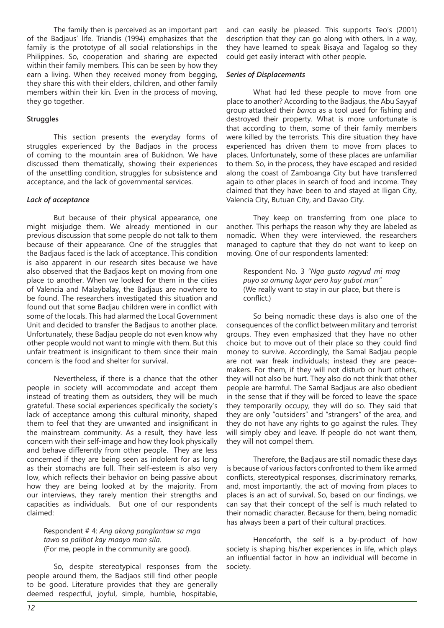The family then is perceived as an important part of the Badjaus' life. Triandis (1994) emphasizes that the family is the prototype of all social relationships in the Philippines. So, cooperation and sharing are expected within their family members. This can be seen by how they earn a living. When they received money from begging, they share this with their elders, children, and other family members within their kin. Even in the process of moving, they go together.

## **Struggles**

This section presents the everyday forms of struggles experienced by the Badjaos in the process of coming to the mountain area of Bukidnon. We have discussed them thematically, showing their experiences of the unsettling condition, struggles for subsistence and acceptance, and the lack of governmental services.

## *Lack of acceptance*

But because of their physical appearance, one might misjudge them. We already mentioned in our previous discussion that some people do not talk to them because of their appearance. One of the struggles that the Badjaus faced is the lack of acceptance. This condition is also apparent in our research sites because we have also observed that the Badjaos kept on moving from one place to another. When we looked for them in the cities of Valencia and Malaybalay, the Badjaus are nowhere to be found. The researchers investigated this situation and found out that some Badjau children were in conflict with some of the locals. This had alarmed the Local Government Unit and decided to transfer the Badjaus to another place. Unfortunately, these Badjau people do not even know why other people would not want to mingle with them. But this unfair treatment is insignificant to them since their main concern is the food and shelter for survival.

Nevertheless, if there is a chance that the other people in society will accommodate and accept them instead of treating them as outsiders, they will be much grateful. These social experiences specifically the society's lack of acceptance among this cultural minority, shaped them to feel that they are unwanted and insignificant in the mainstream community. As a result, they have less concern with their self-image and how they look physically and behave differently from other people. They are less concerned if they are being seen as indolent for as long as their stomachs are full. Their self-esteem is also very low, which reflects their behavior on being passive about how they are being looked at by the majority. From our interviews, they rarely mention their strengths and capacities as individuals. But one of our respondents claimed:

Respondent # 4: *Ang akong panglantaw sa mga tawo sa palibot kay maayo man sila.* (For me, people in the community are good).

So, despite stereotypical responses from the people around them, the Badjaos still find other people to be good. Literature provides that they are generally deemed respectful, joyful, simple, humble, hospitable,

and can easily be pleased. This supports Teo's (2001) description that they can go along with others. In a way, they have learned to speak Bisaya and Tagalog so they could get easily interact with other people.

### *Series of Displacements*

What had led these people to move from one place to another? According to the Badjaus, the Abu Sayyaf group attacked their *banca* as a tool used for fishing and destroyed their property. What is more unfortunate is that according to them, some of their family members were killed by the terrorists. This dire situation they have experienced has driven them to move from places to places. Unfortunately, some of these places are unfamiliar to them. So, in the process, they have escaped and resided along the coast of Zamboanga City but have transferred again to other places in search of food and income. They claimed that they have been to and stayed at Iligan City, Valencia City, Butuan City, and Davao City.

They keep on transferring from one place to another. This perhaps the reason why they are labeled as nomadic. When they were interviewed, the researchers managed to capture that they do not want to keep on moving. One of our respondents lamented:

Respondent No. 3 *"Nga gusto ragyud mi mag puyo sa amung lugar pero kay gubot man"* (We really want to stay in our place, but there is conflict.)

So being nomadic these days is also one of the consequences of the conflict between military and terrorist groups. They even emphasized that they have no other choice but to move out of their place so they could find money to survive. Accordingly, the Samal Badjau people are not war freak individuals; instead they are peacemakers. For them, if they will not disturb or hurt others, they will not also be hurt. They also do not think that other people are harmful. The Samal Badjaus are also obedient in the sense that if they will be forced to leave the space they temporarily occupy, they will do so. They said that they are only "outsiders" and "strangers" of the area, and they do not have any rights to go against the rules. They will simply obey and leave. If people do not want them, they will not compel them.

Therefore, the Badjaus are still nomadic these days is because of various factors confronted to them like armed conflicts, stereotypical responses, discriminatory remarks, and, most importantly, the act of moving from places to places is an act of survival. So, based on our findings, we can say that their concept of the self is much related to their nomadic character. Because for them, being nomadic has always been a part of their cultural practices.

Henceforth, the self is a by-product of how society is shaping his/her experiences in life, which plays an influential factor in how an individual will become in society.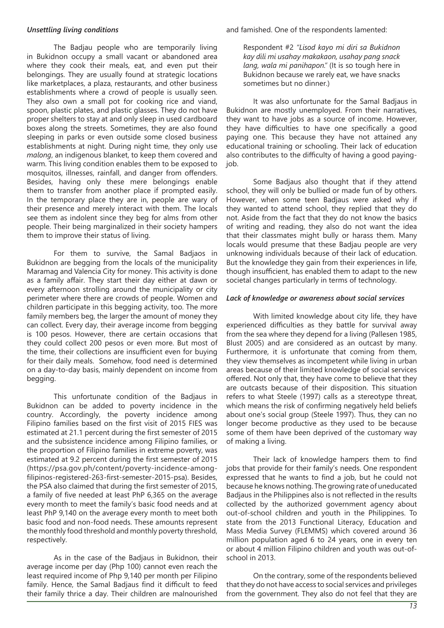#### *Unsettling living conditions*

The Badjau people who are temporarily living in Bukidnon occupy a small vacant or abandoned area where they cook their meals, eat, and even put their belongings. They are usually found at strategic locations like marketplaces, a plaza, restaurants, and other business establishments where a crowd of people is usually seen. They also own a small pot for cooking rice and viand, spoon, plastic plates, and plastic glasses. They do not have proper shelters to stay at and only sleep in used cardboard boxes along the streets. Sometimes, they are also found sleeping in parks or even outside some closed business establishments at night. During night time, they only use *malong*, an indigenous blanket, to keep them covered and warm. This living condition enables them to be exposed to mosquitos, illnesses, rainfall, and danger from offenders. Besides, having only these mere belongings enable them to transfer from another place if prompted easily. In the temporary place they are in, people are wary of their presence and merely interact with them. The locals see them as indolent since they beg for alms from other people. Their being marginalized in their society hampers them to improve their status of living.

For them to survive, the Samal Badjaos in Bukidnon are begging from the locals of the municipality Maramag and Valencia City for money. This activity is done as a family affair. They start their day either at dawn or every afternoon strolling around the municipality or city perimeter where there are crowds of people. Women and children participate in this begging activity, too. The more family members beg, the larger the amount of money they can collect. Every day, their average income from begging is 100 pesos. However, there are certain occasions that they could collect 200 pesos or even more. But most of the time, their collections are insufficient even for buying for their daily meals. Somehow, food need is determined on a day-to-day basis, mainly dependent on income from begging.

This unfortunate condition of the Badjaus in Bukidnon can be added to poverty incidence in the country. Accordingly, the poverty incidence among Filipino families based on the first visit of 2015 FIES was estimated at 21.1 percent during the first semester of 2015 and the subsistence incidence among Filipino families, or the proportion of Filipino families in extreme poverty, was estimated at 9.2 percent during the first semester of 2015 (https://psa.gov.ph/content/poverty-incidence-amongfilipinos-registered-263-first-semester-2015-psa). Besides, the PSA also claimed that during the first semester of 2015, a family of five needed at least PhP 6,365 on the average every month to meet the family's basic food needs and at least PhP 9,140 on the average every month to meet both basic food and non-food needs. These amounts represent the monthly food threshold and monthly poverty threshold, respectively.

As in the case of the Badjaus in Bukidnon, their average income per day (Php 100) cannot even reach the least required income of Php 9,140 per month per Filipino family. Hence, the Samal Badjaus find it difficult to feed their family thrice a day. Their children are malnourished

and famished. One of the respondents lamented:

Respondent #2 *"Lisod kayo mi diri sa Bukidnon kay dili mi usahay makakaon, usahay pang snack lang, wala mi panihapon."* (It is so tough here in Bukidnon because we rarely eat, we have snacks sometimes but no dinner.)

It was also unfortunate for the Samal Badjaus in Bukidnon are mostly unemployed. From their narratives, they want to have jobs as a source of income. However, they have difficulties to have one specifically a good paying one. This because they have not attained any educational training or schooling. Their lack of education also contributes to the difficulty of having a good payingjob.

Some Badjaus also thought that if they attend school, they will only be bullied or made fun of by others. However, when some teen Badjaus were asked why if they wanted to attend school, they replied that they do not. Aside from the fact that they do not know the basics of writing and reading, they also do not want the idea that their classmates might bully or harass them. Many locals would presume that these Badjau people are very unknowing individuals because of their lack of education. But the knowledge they gain from their experiences in life, though insufficient, has enabled them to adapt to the new societal changes particularly in terms of technology.

### *Lack of knowledge or awareness about social services*

With limited knowledge about city life, they have experienced difficulties as they battle for survival away from the sea where they depend for a living (Pallesen 1985, Blust 2005) and are considered as an outcast by many. Furthermore, it is unfortunate that coming from them, they view themselves as incompetent while living in urban areas because of their limited knowledge of social services offered. Not only that, they have come to believe that they are outcasts because of their disposition. This situation refers to what Steele (1997) calls as a stereotype threat, which means the risk of confirming negatively held beliefs about one's social group (Steele 1997). Thus, they can no longer become productive as they used to be because some of them have been deprived of the customary way of making a living.

Their lack of knowledge hampers them to find jobs that provide for their family's needs. One respondent expressed that he wants to find a job, but he could not because he knows nothing. The growing rate of uneducated Badjaus in the Philippines also is not reflected in the results collected by the authorized government agency about out-of-school children and youth in the Philippines. To state from the 2013 Functional Literacy, Education and Mass Media Survey (FLEMMS) which covered around 36 million population aged 6 to 24 years, one in every ten or about 4 million Filipino children and youth was out-ofschool in 2013.

On the contrary, some of the respondents believed that they do not have access to social services and privileges from the government. They also do not feel that they are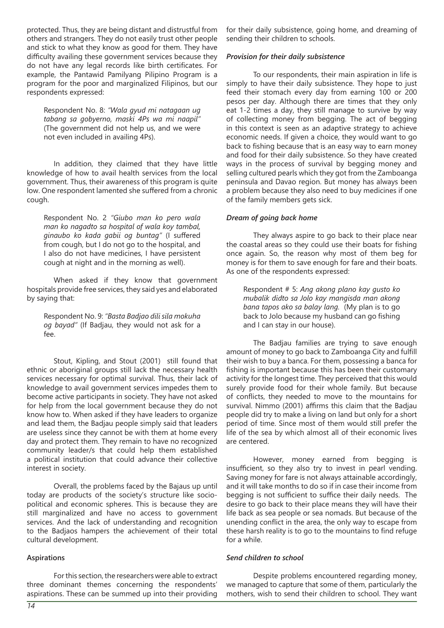protected. Thus, they are being distant and distrustful from others and strangers. They do not easily trust other people and stick to what they know as good for them. They have difficulty availing these government services because they do not have any legal records like birth certificates. For example, the Pantawid Pamilyang Pilipino Program is a program for the poor and marginalized Filipinos, but our respondents expressed:

Respondent No. 8: *"Wala gyud mi natagaan ug tabang sa gobyerno, maski 4Ps wa mi naapil"* (The government did not help us, and we were not even included in availing 4Ps).

In addition, they claimed that they have little knowledge of how to avail health services from the local government. Thus, their awareness of this program is quite low. One respondent lamented she suffered from a chronic cough.

Respondent No. 2 *"Giubo man ko pero wala man ko nagadto sa hospital of wala koy tambal, ginaubo ko kada gabii og buntag"* (I suffered from cough, but I do not go to the hospital, and I also do not have medicines, I have persistent cough at night and in the morning as well).

When asked if they know that government hospitals provide free services, they said yes and elaborated by saying that:

Respondent No. 9: *"Basta Badjao dili sila mokuha og bayad"* (If Badjau, they would not ask for a fee.

Stout, Kipling, and Stout (2001) still found that ethnic or aboriginal groups still lack the necessary health services necessary for optimal survival. Thus, their lack of knowledge to avail government services impedes them to become active participants in society. They have not asked for help from the local government because they do not know how to. When asked if they have leaders to organize and lead them, the Badjau people simply said that leaders are useless since they cannot be with them at home every day and protect them. They remain to have no recognized community leader/s that could help them established a political institution that could advance their collective interest in society.

Overall, the problems faced by the Bajaus up until today are products of the society's structure like sociopolitical and economic spheres. This is because they are still marginalized and have no access to government services. And the lack of understanding and recognition to the Badjaos hampers the achievement of their total cultural development.

## **Aspirations**

For this section, the researchers were able to extract three dominant themes concerning the respondents' aspirations. These can be summed up into their providing for their daily subsistence, going home, and dreaming of sending their children to schools.

### *Provision for their daily subsistence*

To our respondents, their main aspiration in life is simply to have their daily subsistence. They hope to just feed their stomach every day from earning 100 or 200 pesos per day. Although there are times that they only eat 1-2 times a day, they still manage to survive by way of collecting money from begging. The act of begging in this context is seen as an adaptive strategy to achieve economic needs. If given a choice, they would want to go back to fishing because that is an easy way to earn money and food for their daily subsistence. So they have created ways in the process of survival by begging money and selling cultured pearls which they got from the Zamboanga peninsula and Davao region. But money has always been a problem because they also need to buy medicines if one of the family members gets sick.

## *Dream of going back home*

They always aspire to go back to their place near the coastal areas so they could use their boats for fishing once again. So, the reason why most of them beg for money is for them to save enough for fare and their boats. As one of the respondents expressed:

Respondent # 5: *Ang akong plano kay gusto ko mubalik didto sa Jolo kay mangisda man akong bana tapos ako sa balay lang.* (My plan is to go back to Jolo because my husband can go fishing and I can stay in our house).

The Badjau families are trying to save enough amount of money to go back to Zamboanga City and fulfill their wish to buy a banca. For them, possessing a banca for fishing is important because this has been their customary activity for the longest time. They perceived that this would surely provide food for their whole family. But because of conflicts, they needed to move to the mountains for survival. Nimmo (2001) affirms this claim that the Badjau people did try to make a living on land but only for a short period of time. Since most of them would still prefer the life of the sea by which almost all of their economic lives are centered.

However, money earned from begging is insufficient, so they also try to invest in pearl vending. Saving money for fare is not always attainable accordingly, and it will take months to do so if in case their income from begging is not sufficient to suffice their daily needs. The desire to go back to their place means they will have their life back as sea people or sea nomads. But because of the unending conflict in the area, the only way to escape from these harsh reality is to go to the mountains to find refuge for a while.

#### *Send children to school*

Despite problems encountered regarding money, we managed to capture that some of them, particularly the mothers, wish to send their children to school. They want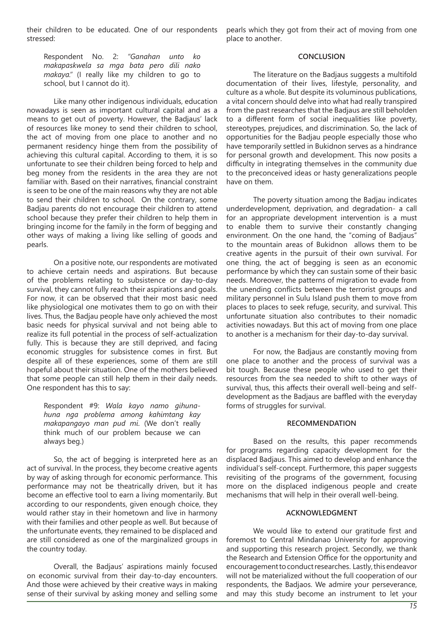their children to be educated. One of our respondents stressed:

pearls which they got from their act of moving from one place to another.

Respondent No. 2: *"Ganahan unto ko makapaskwela sa mga bata pero dili nako makaya."* (I really like my children to go to school, but I cannot do it).

Like many other indigenous individuals, education nowadays is seen as important cultural capital and as a means to get out of poverty. However, the Badjaus' lack of resources like money to send their children to school, the act of moving from one place to another and no permanent residency hinge them from the possibility of achieving this cultural capital. According to them, it is so unfortunate to see their children being forced to help and beg money from the residents in the area they are not familiar with. Based on their narratives, financial constraint is seen to be one of the main reasons why they are not able to send their children to school. On the contrary, some Badjau parents do not encourage their children to attend school because they prefer their children to help them in bringing income for the family in the form of begging and other ways of making a living like selling of goods and pearls.

On a positive note, our respondents are motivated to achieve certain needs and aspirations. But because of the problems relating to subsistence or day-to-day survival, they cannot fully reach their aspirations and goals. For now, it can be observed that their most basic need like physiological one motivates them to go on with their lives. Thus, the Badjau people have only achieved the most basic needs for physical survival and not being able to realize its full potential in the process of self-actualization fully. This is because they are still deprived, and facing economic struggles for subsistence comes in first. But despite all of these experiences, some of them are still hopeful about their situation. One of the mothers believed that some people can still help them in their daily needs. One respondent has this to say:

Respondent #9: *Wala kayo namo gihunahuna nga problema among kahimtang kay makapangayo man pud mi*. (We don't really think much of our problem because we can always beg.)

So, the act of begging is interpreted here as an act of survival. In the process, they become creative agents by way of asking through for economic performance. This performance may not be theatrically driven, but it has become an effective tool to earn a living momentarily. But according to our respondents, given enough choice, they would rather stay in their hometown and live in harmony with their families and other people as well. But because of the unfortunate events, they remained to be displaced and are still considered as one of the marginalized groups in the country today.

Overall, the Badjaus' aspirations mainly focused on economic survival from their day-to-day encounters. And those were achieved by their creative ways in making sense of their survival by asking money and selling some **CONCLUSION**

The literature on the Badjaus suggests a multifold documentation of their lives, lifestyle, personality, and culture as a whole. But despite its voluminous publications, a vital concern should delve into what had really transpired from the past researches that the Badjaus are still beholden to a different form of social inequalities like poverty, stereotypes, prejudices, and discrimination. So, the lack of opportunities for the Badjau people especially those who have temporarily settled in Bukidnon serves as a hindrance for personal growth and development. This now posits a difficulty in integrating themselves in the community due to the preconceived ideas or hasty generalizations people have on them.

The poverty situation among the Badjau indicates underdevelopment, deprivation, and degradation- a call for an appropriate development intervention is a must to enable them to survive their constantly changing environment. On the one hand, the "coming of Badjaus" to the mountain areas of Bukidnon allows them to be creative agents in the pursuit of their own survival. For one thing, the act of begging is seen as an economic performance by which they can sustain some of their basic needs. Moreover, the patterns of migration to evade from the unending conflicts between the terrorist groups and military personnel in Sulu Island push them to move from places to places to seek refuge, security, and survival. This unfortunate situation also contributes to their nomadic activities nowadays. But this act of moving from one place to another is a mechanism for their day-to-day survival.

For now, the Badjaus are constantly moving from one place to another and the process of survival was a bit tough. Because these people who used to get their resources from the sea needed to shift to other ways of survival, thus, this affects their overall well-being and selfdevelopment as the Badjaus are baffled with the everyday forms of struggles for survival.

#### **RECOMMENDATION**

Based on the results, this paper recommends for programs regarding capacity development for the displaced Badjaus. This aimed to develop and enhance the individual's self-concept. Furthermore, this paper suggests revisiting of the programs of the government, focusing more on the displaced indigenous people and create mechanisms that will help in their overall well-being.

#### **ACKNOWLEDGMENT**

We would like to extend our gratitude first and foremost to Central Mindanao University for approving and supporting this research project. Secondly, we thank the Research and Extension Office for the opportunity and encouragement to conduct researches. Lastly, this endeavor will not be materialized without the full cooperation of our respondents, the Badjaos. We admire your perseverance, and may this study become an instrument to let your